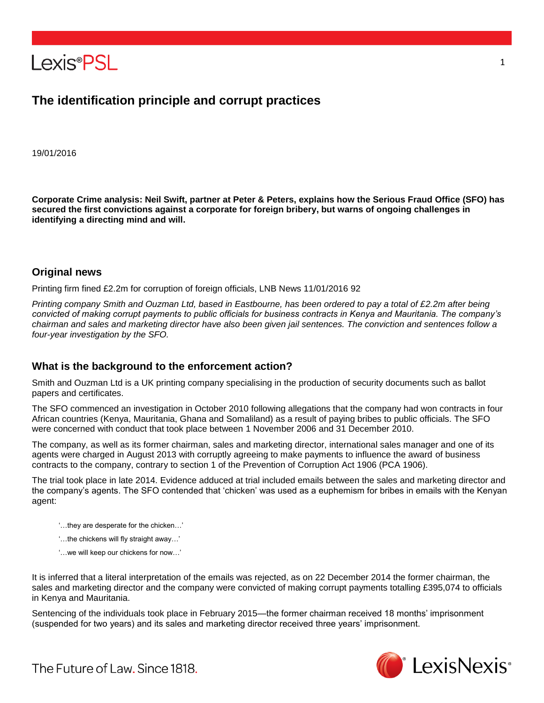

# **The identification principle and corrupt practices**

19/01/2016

**Corporate Crime analysis: Neil Swift, partner at Peter & Peters, explains how the Serious Fraud Office (SFO) has secured the first convictions against a corporate for foreign bribery, but warns of ongoing challenges in identifying a directing mind and will.**

#### **Original news**

Printing firm fined £2.2m for corruption of foreign officials, LNB News 11/01/2016 92

*Printing company Smith and Ouzman Ltd, based in Eastbourne, has been ordered to pay a total of £2.2m after being convicted of making corrupt payments to public officials for business contracts in Kenya and Mauritania. The company's chairman and sales and marketing director have also been given jail sentences. The conviction and sentences follow a four-year investigation by the SFO.*

# **What is the background to the enforcement action?**

Smith and Ouzman Ltd is a UK printing company specialising in the production of security documents such as ballot papers and certificates.

The SFO commenced an investigation in October 2010 following allegations that the company had won contracts in four African countries (Kenya, Mauritania, Ghana and Somaliland) as a result of paying bribes to public officials. The SFO were concerned with conduct that took place between 1 November 2006 and 31 December 2010.

The company, as well as its former chairman, sales and marketing director, international sales manager and one of its agents were charged in August 2013 with corruptly agreeing to make payments to influence the award of business contracts to the company, contrary to section 1 of the Prevention of Corruption Act 1906 (PCA 1906).

The trial took place in late 2014. Evidence adduced at trial included emails between the sales and marketing director and the company's agents. The SFO contended that 'chicken' was used as a euphemism for bribes in emails with the Kenyan agent:

- '…they are desperate for the chicken…'
- '…the chickens will fly straight away…'
- '…we will keep our chickens for now…'

It is inferred that a literal interpretation of the emails was rejected, as on 22 December 2014 the former chairman, the sales and marketing director and the company were convicted of making corrupt payments totalling £395,074 to officials in Kenya and Mauritania.

Sentencing of the individuals took place in February 2015—the former chairman received 18 months' imprisonment (suspended for two years) and its sales and marketing director received three years' imprisonment.



1

The Future of Law, Since 1818.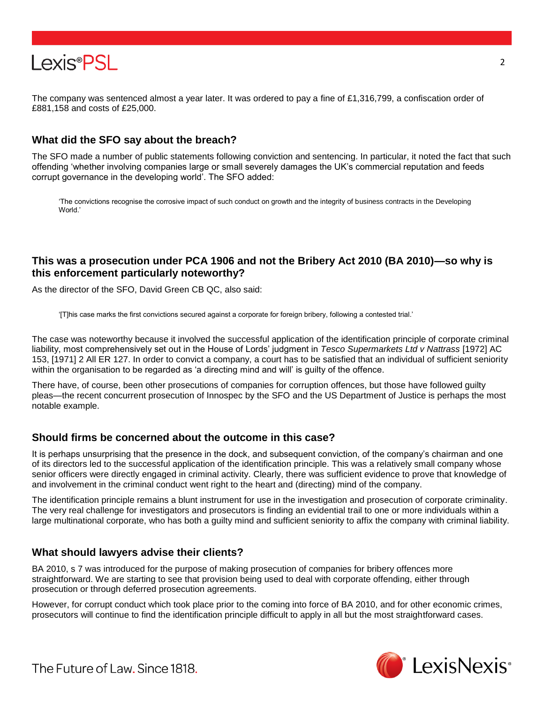

The company was sentenced almost a year later. It was ordered to pay a fine of £1,316,799, a confiscation order of £881,158 and costs of £25,000.

# **What did the SFO say about the breach?**

The SFO made a number of public statements following conviction and sentencing. In particular, it noted the fact that such offending 'whether involving companies large or small severely damages the UK's commercial reputation and feeds corrupt governance in the developing world'. The SFO added:

'The convictions recognise the corrosive impact of such conduct on growth and the integrity of business contracts in the Developing World.'

# **This was a prosecution under PCA 1906 and not the Bribery Act 2010 (BA 2010)—so why is this enforcement particularly noteworthy?**

As the director of the SFO, David Green CB QC, also said:

'[T]his case marks the first convictions secured against a corporate for foreign bribery, following a contested trial.'

The case was noteworthy because it involved the successful application of the identification principle of corporate criminal liability, most comprehensively set out in the House of Lords' judgment in *Tesco Supermarkets Ltd v Nattrass* [1972] AC 153, [1971] 2 All ER 127. In order to convict a company, a court has to be satisfied that an individual of sufficient seniority within the organisation to be regarded as 'a directing mind and will' is guilty of the offence.

There have, of course, been other prosecutions of companies for corruption offences, but those have followed guilty pleas—the recent concurrent prosecution of Innospec by the SFO and the US Department of Justice is perhaps the most notable example.

# **Should firms be concerned about the outcome in this case?**

It is perhaps unsurprising that the presence in the dock, and subsequent conviction, of the company's chairman and one of its directors led to the successful application of the identification principle. This was a relatively small company whose senior officers were directly engaged in criminal activity. Clearly, there was sufficient evidence to prove that knowledge of and involvement in the criminal conduct went right to the heart and (directing) mind of the company.

The identification principle remains a blunt instrument for use in the investigation and prosecution of corporate criminality. The very real challenge for investigators and prosecutors is finding an evidential trail to one or more individuals within a large multinational corporate, who has both a guilty mind and sufficient seniority to affix the company with criminal liability.

# **What should lawyers advise their clients?**

BA 2010, s 7 was introduced for the purpose of making prosecution of companies for bribery offences more straightforward. We are starting to see that provision being used to deal with corporate offending, either through prosecution or through deferred prosecution agreements.

However, for corrupt conduct which took place prior to the coming into force of BA 2010, and for other economic crimes, prosecutors will continue to find the identification principle difficult to apply in all but the most straightforward cases.



The Future of Law, Since 1818.